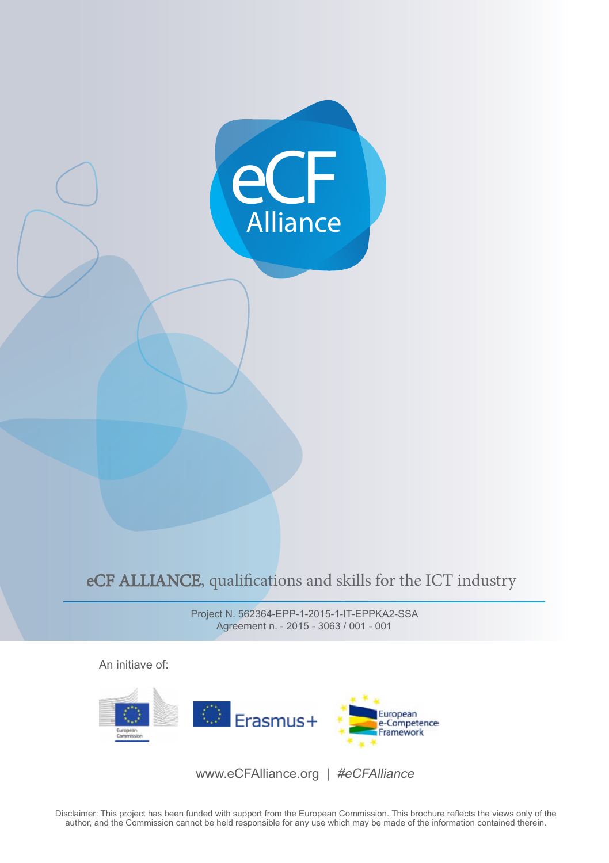

## eCF ALLIANCE, qualifications and skills for the ICT industry

Project N. 562364-EPP-1-2015-1-IT-EPPKA2-SSA Agreement n. - 2015 - 3063 / 001 - 001

An initiave of:



www.eCFAlliance.org | #eCFAlliance

Disclaimer: This project has been funded with support from the European Commission. This brochure reflects the views only of the author, and the Commission cannot be held responsible for any use which may be made of the information contained therein.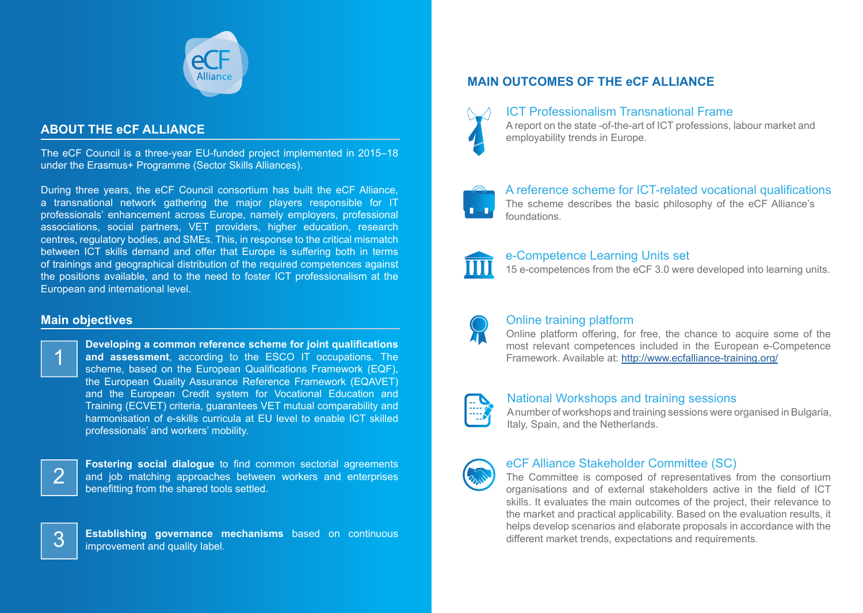

## **ABOUT THE eCF ALLIANCE**

The eCF Council is a three-year EU-funded project implemented in 2015–18 under the Erasmus+ Programme (Sector Skills Alliances).

During three years, the eCF Council consortium has built the eCF Alliance, a transnational network gathering the major players responsible for IT professionals' enhancement across Europe, namely employers, professional associations, social partners, VET providers, higher education, research centres, regulatory bodies, and SMEs. This, in response to the critical mismatch between ICT skills demand and offer that Europe is suffering both in terms of trainings and geographical distribution of the required competences against the positions available, and to the need to foster ICT professionalism at the European and international level.

### **Main objectives**



**Developing a common reference scheme for joint qualifications and assessment**, according to the ESCO IT occupations. The scheme, based on the European Qualifications Framework (EQF), the European Quality Assurance Reference Framework (EQAVET) and the European Credit system for Vocational Education and Training (ECVET) criteria, guarantees VET mutual comparability and harmonisation of e-skills curricula at EU level to enable ICT skilled professionals' and workers' mobility.



**Fostering social dialogue** to find common sectorial agreements and job matching approaches between workers and enterprises benefitting from the shared tools settled.



**3 Establishing governance mechanisms** based on continuous improvement and quality label.

# **MAIN OUTCOMES OF THE eCF ALLIANCE**



### ICT Professionalism Transnational Frame

A report on the state -of-the-art of ICT professions, labour market and employability trends in Europe.



A reference scheme for ICT-related vocational qualifications The scheme describes the basic philosophy of the eCF Alliance's foundations.



### e-Competence Learning Units set

15 e-competences from the eCF 3.0 were developed into learning units.



### Online training platform

Online platform offering, for free, the chance to acquire some of the most relevant competences included in the European e-Competence Framework. Available at:<http://www.ecfalliance-training.org/>



#### National Workshops and training sessions

A number of workshops and training sessions were organised in Bulgaria, Italy, Spain, and the Netherlands.



### eCF Alliance Stakeholder Committee (SC)

The Committee is composed of representatives from the consortium organisations and of external stakeholders active in the field of ICT skills. It evaluates the main outcomes of the project, their relevance to the market and practical applicability. Based on the evaluation results, it helps develop scenarios and elaborate proposals in accordance with the different market trends, expectations and requirements.